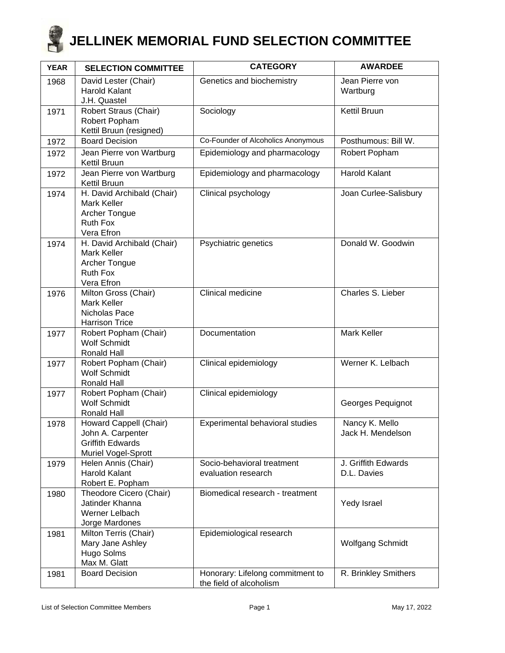

| <b>YEAR</b> | <b>SELECTION COMMITTEE</b>                                                                    | <b>CATEGORY</b>                                             | <b>AWARDEE</b>                      |
|-------------|-----------------------------------------------------------------------------------------------|-------------------------------------------------------------|-------------------------------------|
| 1968        | David Lester (Chair)<br>Harold Kalant<br>J.H. Quastel                                         | Genetics and biochemistry                                   | Jean Pierre von<br>Wartburg         |
| 1971        | Robert Straus (Chair)<br>Robert Popham<br>Kettil Bruun (resigned)                             | Sociology                                                   | <b>Kettil Bruun</b>                 |
| 1972        | <b>Board Decision</b>                                                                         | Co-Founder of Alcoholics Anonymous                          | Posthumous: Bill W.                 |
| 1972        | Jean Pierre von Wartburg<br>Kettil Bruun                                                      | Epidemiology and pharmacology                               | Robert Popham                       |
| 1972        | Jean Pierre von Wartburg<br>Kettil Bruun                                                      | Epidemiology and pharmacology                               | <b>Harold Kalant</b>                |
| 1974        | H. David Archibald (Chair)<br>Mark Keller<br>Archer Tongue<br>Ruth Fox<br>Vera Efron          | Clinical psychology                                         | Joan Curlee-Salisbury               |
| 1974        | H. David Archibald (Chair)<br>Mark Keller<br>Archer Tongue<br>Ruth Fox<br>Vera Efron          | Psychiatric genetics                                        | Donald W. Goodwin                   |
| 1976        | Milton Gross (Chair)<br>Mark Keller<br>Nicholas Pace<br><b>Harrison Trice</b>                 | Clinical medicine                                           | Charles S. Lieber                   |
| 1977        | Robert Popham (Chair)<br><b>Wolf Schmidt</b><br>Ronald Hall                                   | Documentation                                               | <b>Mark Keller</b>                  |
| 1977        | Robert Popham (Chair)<br><b>Wolf Schmidt</b><br>Ronald Hall                                   | Clinical epidemiology                                       | Werner K. Lelbach                   |
| 1977        | Robert Popham (Chair)<br><b>Wolf Schmidt</b><br>Ronald Hall                                   | Clinical epidemiology                                       | Georges Pequignot                   |
| 1978        | Howard Cappell (Chair)<br>John A. Carpenter<br><b>Griffith Edwards</b><br>Muriel Vogel-Sprott | Experimental behavioral studies                             | Nancy K. Mello<br>Jack H. Mendelson |
| 1979        | Helen Annis (Chair)<br><b>Harold Kalant</b><br>Robert E. Popham                               | Socio-behavioral treatment<br>evaluation research           | J. Griffith Edwards<br>D.L. Davies  |
| 1980        | Theodore Cicero (Chair)<br>Jatinder Khanna<br>Werner Lelbach<br>Jorge Mardones                | Biomedical research - treatment                             | Yedy Israel                         |
| 1981        | Milton Terris (Chair)<br>Mary Jane Ashley<br>Hugo Solms<br>Max M. Glatt                       | Epidemiological research                                    | <b>Wolfgang Schmidt</b>             |
| 1981        | <b>Board Decision</b>                                                                         | Honorary: Lifelong commitment to<br>the field of alcoholism | R. Brinkley Smithers                |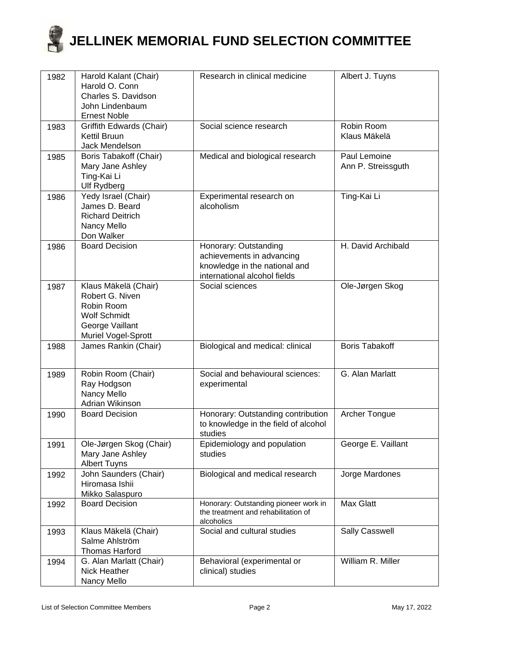| 1982 | Harold Kalant (Chair)                        | Research in clinical medicine                                                | Albert J. Tuyns       |
|------|----------------------------------------------|------------------------------------------------------------------------------|-----------------------|
|      | Harold O. Conn<br>Charles S. Davidson        |                                                                              |                       |
|      | John Lindenbaum                              |                                                                              |                       |
|      | <b>Ernest Noble</b>                          |                                                                              |                       |
| 1983 | Griffith Edwards (Chair)                     | Social science research                                                      | Robin Room            |
|      | Kettil Bruun                                 |                                                                              | Klaus Mäkelä          |
| 1985 | Jack Mendelson<br>Boris Tabakoff (Chair)     | Medical and biological research                                              | Paul Lemoine          |
|      | Mary Jane Ashley                             |                                                                              | Ann P. Streissguth    |
|      | Ting-Kai Li                                  |                                                                              |                       |
|      | <b>Ulf Rydberg</b>                           |                                                                              |                       |
| 1986 | Yedy Israel (Chair)                          | Experimental research on                                                     | Ting-Kai Li           |
|      | James D. Beard<br><b>Richard Deitrich</b>    | alcoholism                                                                   |                       |
|      | Nancy Mello                                  |                                                                              |                       |
|      | Don Walker                                   |                                                                              |                       |
| 1986 | <b>Board Decision</b>                        | Honorary: Outstanding                                                        | H. David Archibald    |
|      |                                              | achievements in advancing                                                    |                       |
|      |                                              | knowledge in the national and<br>international alcohol fields                |                       |
| 1987 | Klaus Mäkelä (Chair)                         | Social sciences                                                              | Ole-Jørgen Skog       |
|      | Robert G. Niven                              |                                                                              |                       |
|      | Robin Room                                   |                                                                              |                       |
|      | <b>Wolf Schmidt</b>                          |                                                                              |                       |
|      | George Vaillant<br>Muriel Vogel-Sprott       |                                                                              |                       |
| 1988 | James Rankin (Chair)                         | Biological and medical: clinical                                             | <b>Boris Tabakoff</b> |
|      |                                              |                                                                              |                       |
| 1989 | Robin Room (Chair)                           | Social and behavioural sciences:                                             | G. Alan Marlatt       |
|      | Ray Hodgson                                  | experimental                                                                 |                       |
|      | Nancy Mello                                  |                                                                              |                       |
| 1990 | Adrian Wikinson<br><b>Board Decision</b>     | Honorary: Outstanding contribution                                           | Archer Tongue         |
|      |                                              | to knowledge in the field of alcohol                                         |                       |
|      |                                              | studies                                                                      |                       |
| 1991 | Ole-Jørgen Skog (Chair)                      | Epidemiology and population                                                  | George E. Vaillant    |
|      | Mary Jane Ashley                             | studies                                                                      |                       |
| 1992 | <b>Albert Tuyns</b><br>John Saunders (Chair) | Biological and medical research                                              | Jorge Mardones        |
|      | Hiromasa Ishii                               |                                                                              |                       |
|      | Mikko Salaspuro                              |                                                                              |                       |
| 1992 | <b>Board Decision</b>                        | Honorary: Outstanding pioneer work in<br>the treatment and rehabilitation of | Max Glatt             |
|      |                                              | alcoholics                                                                   |                       |
| 1993 | Klaus Mäkelä (Chair)                         | Social and cultural studies                                                  | <b>Sally Casswell</b> |
|      | Salme Ahlström                               |                                                                              |                       |
|      | <b>Thomas Harford</b>                        |                                                                              | William R. Miller     |
| 1994 | G. Alan Marlatt (Chair)<br>Nick Heather      | Behavioral (experimental or<br>clinical) studies                             |                       |
|      | Nancy Mello                                  |                                                                              |                       |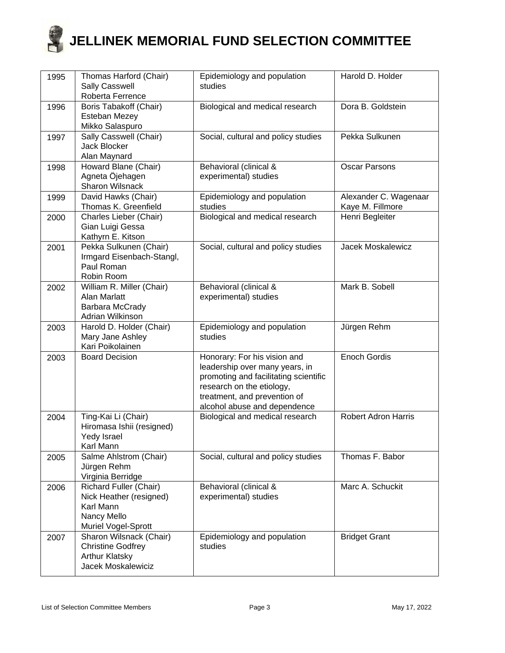

| 1995 | Thomas Harford (Chair)<br><b>Sally Casswell</b><br>Roberta Ferrence                                  | Epidemiology and population<br>studies                                                                                                                                                               | Harold D. Holder                          |
|------|------------------------------------------------------------------------------------------------------|------------------------------------------------------------------------------------------------------------------------------------------------------------------------------------------------------|-------------------------------------------|
| 1996 | Boris Tabakoff (Chair)<br>Esteban Mezey<br>Mikko Salaspuro                                           | Biological and medical research                                                                                                                                                                      | Dora B. Goldstein                         |
| 1997 | Sally Casswell (Chair)<br><b>Jack Blocker</b><br>Alan Maynard                                        | Social, cultural and policy studies                                                                                                                                                                  | Pekka Sulkunen                            |
| 1998 | Howard Blane (Chair)<br>Agneta Öjehagen<br>Sharon Wilsnack                                           | Behavioral (clinical &<br>experimental) studies                                                                                                                                                      | <b>Oscar Parsons</b>                      |
| 1999 | David Hawks (Chair)<br>Thomas K. Greenfield                                                          | Epidemiology and population<br>studies                                                                                                                                                               | Alexander C. Wagenaar<br>Kaye M. Fillmore |
| 2000 | Charles Lieber (Chair)<br>Gian Luigi Gessa<br>Kathyrn E. Kitson                                      | Biological and medical research                                                                                                                                                                      | Henri Begleiter                           |
| 2001 | Pekka Sulkunen (Chair)<br>Irmgard Eisenbach-Stangl,<br>Paul Roman<br>Robin Room                      | Social, cultural and policy studies                                                                                                                                                                  | Jacek Moskalewicz                         |
| 2002 | William R. Miller (Chair)<br>Alan Marlatt<br>Barbara McCrady<br>Adrian Wilkinson                     | Behavioral (clinical &<br>experimental) studies                                                                                                                                                      | Mark B. Sobell                            |
| 2003 | Harold D. Holder (Chair)<br>Mary Jane Ashley<br>Kari Poikolainen                                     | Epidemiology and population<br>studies                                                                                                                                                               | Jürgen Rehm                               |
| 2003 | <b>Board Decision</b>                                                                                | Honorary: For his vision and<br>leadership over many years, in<br>promoting and facilitating scientific<br>research on the etiology,<br>treatment, and prevention of<br>alcohol abuse and dependence | Enoch Gordis                              |
| 2004 | Ting-Kai Li (Chair)<br>Hiromasa Ishii (resigned)<br>Yedy Israel<br>Karl Mann                         | Biological and medical research                                                                                                                                                                      | <b>Robert Adron Harris</b>                |
| 2005 | Salme Ahlstrom (Chair)<br>Jürgen Rehm<br>Virginia Berridge                                           | Social, cultural and policy studies                                                                                                                                                                  | Thomas F. Babor                           |
| 2006 | Richard Fuller (Chair)<br>Nick Heather (resigned)<br>Karl Mann<br>Nancy Mello<br>Muriel Vogel-Sprott | Behavioral (clinical &<br>experimental) studies                                                                                                                                                      | Marc A. Schuckit                          |
| 2007 | Sharon Wilsnack (Chair)<br><b>Christine Godfrey</b><br><b>Arthur Klatsky</b><br>Jacek Moskalewiciz   | Epidemiology and population<br>studies                                                                                                                                                               | <b>Bridget Grant</b>                      |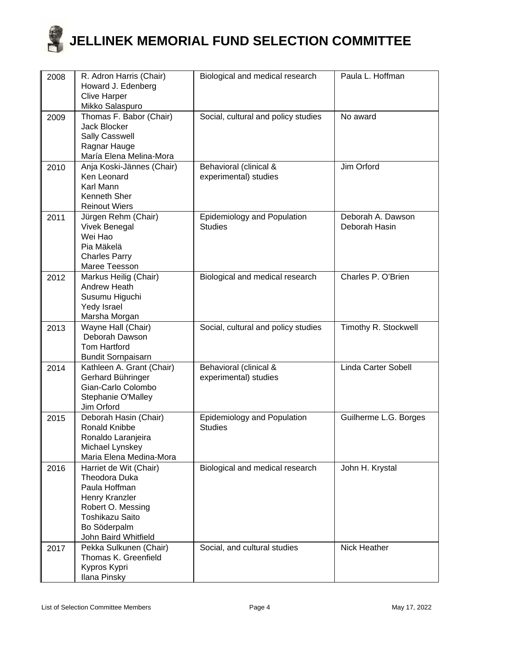| 2008 | R. Adron Harris (Chair)<br>Howard J. Edenberg<br><b>Clive Harper</b><br>Mikko Salaspuro                                                                           | Biological and medical research                 | Paula L. Hoffman                   |
|------|-------------------------------------------------------------------------------------------------------------------------------------------------------------------|-------------------------------------------------|------------------------------------|
| 2009 | Thomas F. Babor (Chair)<br><b>Jack Blocker</b><br><b>Sally Casswell</b><br>Ragnar Hauge<br>María Elena Melina-Mora                                                | Social, cultural and policy studies             | No award                           |
| 2010 | Anja Koski-Jännes (Chair)<br>Ken Leonard<br>Karl Mann<br>Kenneth Sher<br><b>Reinout Wiers</b>                                                                     | Behavioral (clinical &<br>experimental) studies | Jim Orford                         |
| 2011 | Jürgen Rehm (Chair)<br><b>Vivek Benegal</b><br>Wei Hao<br>Pia Mäkelä<br><b>Charles Parry</b><br>Maree Teesson                                                     | Epidemiology and Population<br><b>Studies</b>   | Deborah A. Dawson<br>Deborah Hasin |
| 2012 | Markus Heilig (Chair)<br>Andrew Heath<br>Susumu Higuchi<br>Yedy Israel<br>Marsha Morgan                                                                           | Biological and medical research                 | Charles P. O'Brien                 |
| 2013 | Wayne Hall (Chair)<br>Deborah Dawson<br><b>Tom Hartford</b><br><b>Bundit Sornpaisarn</b>                                                                          | Social, cultural and policy studies             | Timothy R. Stockwell               |
| 2014 | Kathleen A. Grant (Chair)<br>Gerhard Bühringer<br>Gian-Carlo Colombo<br>Stephanie O'Malley<br>Jim Orford                                                          | Behavioral (clinical &<br>experimental) studies | Linda Carter Sobell                |
| 2015 | Deborah Hasin (Chair)<br><b>Ronald Knibbe</b><br>Ronaldo Laranjeira<br>Michael Lynskey<br>Maria Elena Medina-Mora                                                 | Epidemiology and Population<br><b>Studies</b>   | Guilherme L.G. Borges              |
| 2016 | Harriet de Wit (Chair)<br>Theodora Duka<br>Paula Hoffman<br>Henry Kranzler<br>Robert O. Messing<br><b>Toshikazu Saito</b><br>Bo Söderpalm<br>John Baird Whitfield | Biological and medical research                 | John H. Krystal                    |
| 2017 | Pekka Sulkunen (Chair)<br>Thomas K. Greenfield<br>Kypros Kypri<br>Ilana Pinsky                                                                                    | Social, and cultural studies                    | <b>Nick Heather</b>                |